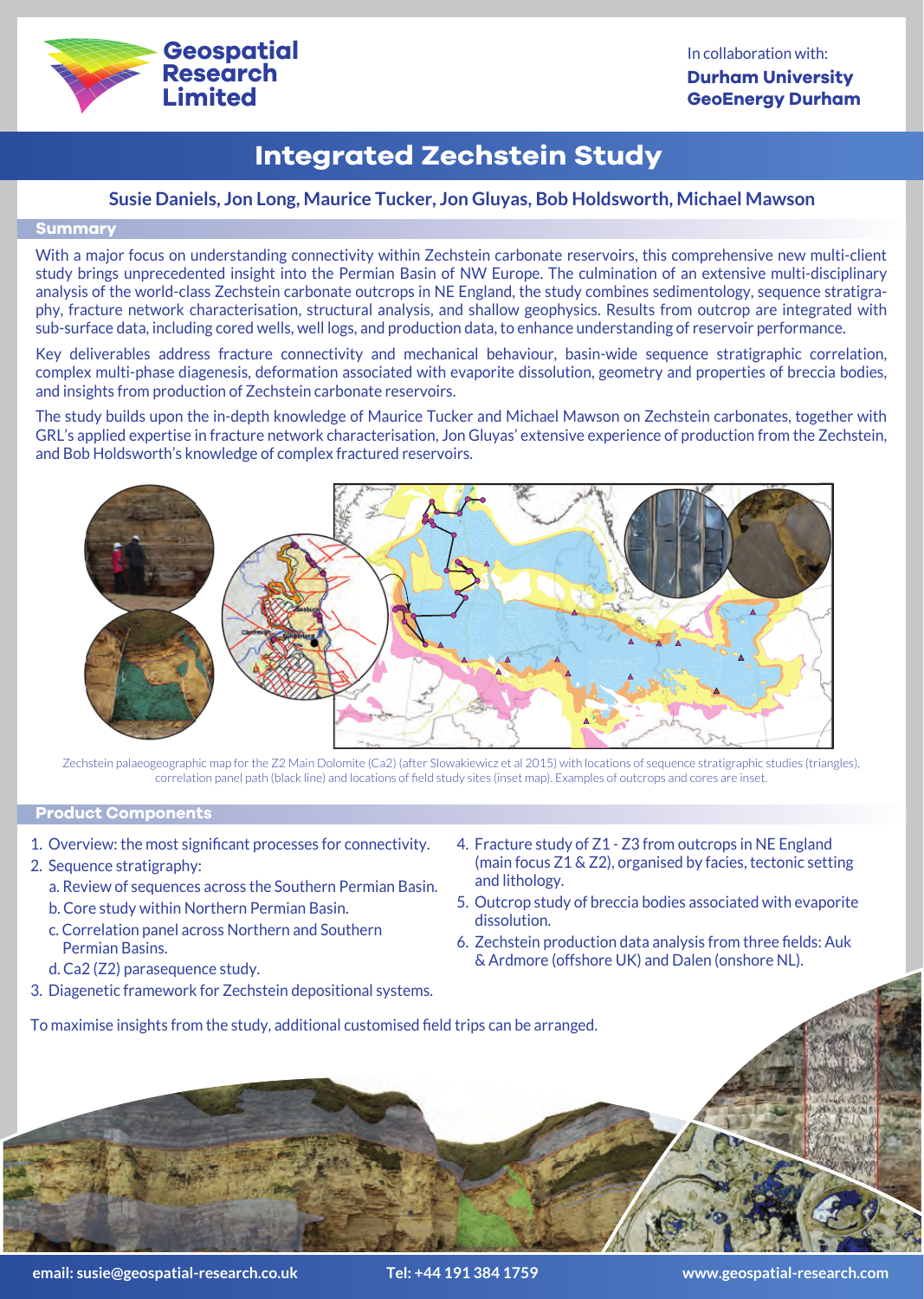

# **Integrated Zechstein Study**

## **Susie Daniels, Jon Long, Maurice Tucker, Jon Gluyas, Bob Holdsworth, Michael Mawson**

### **Summary**

With a major focus on understanding connectivity within Zechstein carbonate reservoirs, this comprehensive new multi-client study brings unprecedented insight into the Permian Basin of NW Europe. The culmination of an extensive multi-disciplinary analysis of the world-class Zechstein carbonate outcrops in NE England, the study combines sedimentology, sequence stratigraphy, fracture network characterisation, structural analysis, and shallow geophysics. Results from outcrop are integrated with sub-surface data, including cored wells, well logs, and production data, to enhance understanding of reservoir performance.

Key deliverables address fracture connectivity and mechanical behaviour, basin-wide sequence stratigraphic correlation, complex multi-phase diagenesis, deformation associated with evaporite dissolution, geometry and properties of breccia bodies, and insights from production of Zechstein carbonate reservoirs.

The study builds upon the in-depth knowledge of Maurice Tucker and Michael Mawson on Zechstein carbonates, together with GRL's applied expertise in fracture network characterisation, Jon Gluyas' extensive experience of production from the Zechstein, and Bob Holdsworth's knowledge of complex fractured reservoirs.



Zechstein palaeogeographic map for the Z2 Main Dolomite (Ca2) (after Slowakiewicz et al 2015) with locations of sequence stratigraphic studies (triangles), correlation panel path (black line) and locations of field study sites (inset map). Examples of outcrops and cores are inset.

### **Product Components**

- 1. Overview: the most significant processes for connectivity.
- 2. Sequence stratigraphy:
	- a. Review of sequences across the Southern Permian Basin.
	- b. Core study within Northern Permian Basin.
	- c. Correlation panel across Northern and Southern Permian Basins.
- d. Ca2 (Z2) parasequence study.
- 3. Diagenetic framework for Zechstein depositional systems.
- 4. Fracture study of Z1 Z3 from outcrops in NE England (main focus Z1 & Z2), organised by facies, tectonic setting and lithology.
- 5. Outcrop study of breccia bodies associated with evaporite dissolution.
- 6. Zechstein production data analysis from three fields: Auk & Ardmore (offshore UK) and Dalen (onshore NL).

To maximise insights from the study, additional customised field trips can be arranged.



**email: susie@geospatial-research.co.uk Tel: +44 191 384 1759 www.geospatial-research.com**